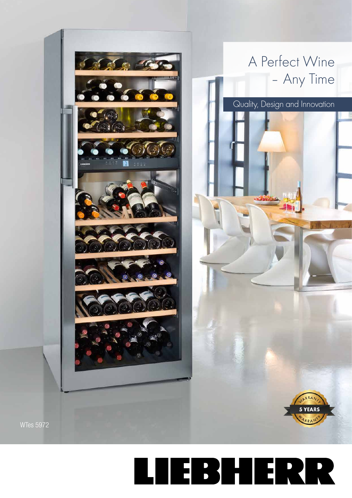

Quality, Design and Innovation

5 YEARS





**WTes 5972**